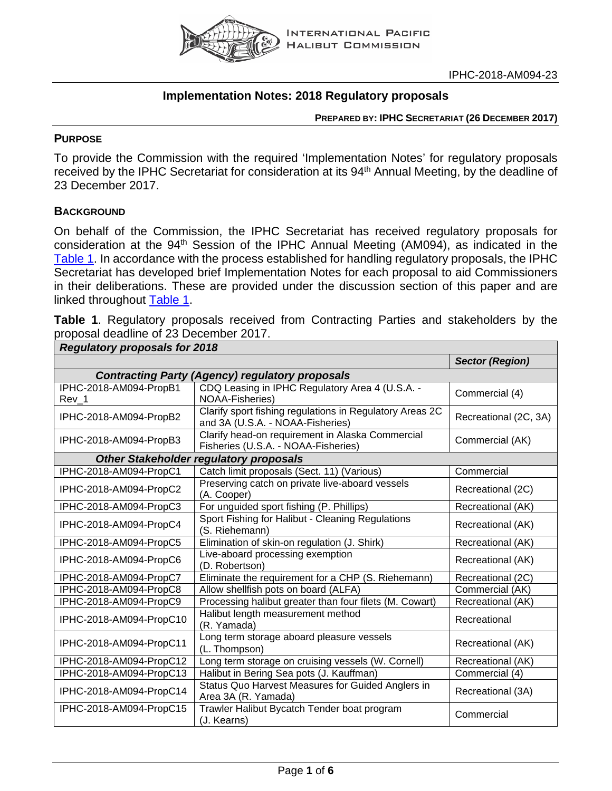

# **Implementation Notes: 2018 Regulatory proposals**

**PREPARED BY: IPHC SECRETARIAT (26 DECEMBER 2017)**

### **PURPOSE**

To provide the Commission with the required 'Implementation Notes' for regulatory proposals received by the IPHC Secretariat for consideration at its 94<sup>th</sup> Annual Meeting, by the deadline of 23 December 2017.

## **BACKGROUND**

On behalf of the Commission, the IPHC Secretariat has received regulatory proposals for consideration at the 94<sup>th</sup> Session of the IPHC Annual Meeting (AM094), as indicated in the [Table](#page-0-0) 1. In accordance with the process established for handling regulatory proposals, the IPHC Secretariat has developed brief Implementation Notes for each proposal to aid Commissioners in their deliberations. These are provided under the discussion section of this paper and are linked throughout **Table 1.** 

<span id="page-0-0"></span>

| proposal deadline of 23 December 2017. |  |  |  | Table 1. Regulatory proposals received from Contracting Parties and stakeholders by the |  |
|----------------------------------------|--|--|--|-----------------------------------------------------------------------------------------|--|
| Doquistory proposale for 2018          |  |  |  |                                                                                         |  |

| Regulatory proposals for zo lo |                                                                                              | <b>Sector (Region)</b> |
|--------------------------------|----------------------------------------------------------------------------------------------|------------------------|
|                                |                                                                                              |                        |
|                                | <b>Contracting Party (Agency) regulatory proposals</b>                                       |                        |
| IPHC-2018-AM094-PropB1         | CDQ Leasing in IPHC Regulatory Area 4 (U.S.A. -<br><b>NOAA-Fisheries)</b>                    | Commercial (4)         |
| Rev_1                          |                                                                                              |                        |
| IPHC-2018-AM094-PropB2         | Clarify sport fishing regulations in Regulatory Areas 2C<br>and 3A (U.S.A. - NOAA-Fisheries) | Recreational (2C, 3A)  |
| IPHC-2018-AM094-PropB3         | Clarify head-on requirement in Alaska Commercial<br>Fisheries (U.S.A. - NOAA-Fisheries)      | Commercial (AK)        |
|                                | <b>Other Stakeholder regulatory proposals</b>                                                |                        |
| IPHC-2018-AM094-PropC1         | Catch limit proposals (Sect. 11) (Various)                                                   | Commercial             |
| IPHC-2018-AM094-PropC2         | Preserving catch on private live-aboard vessels<br>(A. Cooper)                               | Recreational (2C)      |
| IPHC-2018-AM094-PropC3         | For unguided sport fishing (P. Phillips)                                                     | Recreational (AK)      |
| IPHC-2018-AM094-PropC4         | Sport Fishing for Halibut - Cleaning Regulations<br>(S. Riehemann)                           | Recreational (AK)      |
| IPHC-2018-AM094-PropC5         | Elimination of skin-on regulation (J. Shirk)                                                 | Recreational (AK)      |
| IPHC-2018-AM094-PropC6         | Live-aboard processing exemption<br>(D. Robertson)                                           | Recreational (AK)      |
| IPHC-2018-AM094-PropC7         | Eliminate the requirement for a CHP (S. Riehemann)                                           | Recreational (2C)      |
| IPHC-2018-AM094-PropC8         | Allow shellfish pots on board (ALFA)                                                         | Commercial (AK)        |
| IPHC-2018-AM094-PropC9         | Processing halibut greater than four filets (M. Cowart)                                      | Recreational (AK)      |
| IPHC-2018-AM094-PropC10        | Halibut length measurement method<br>(R. Yamada)                                             | Recreational           |
| IPHC-2018-AM094-PropC11        | Long term storage aboard pleasure vessels<br>(L. Thompson)                                   | Recreational (AK)      |
| IPHC-2018-AM094-PropC12        | Long term storage on cruising vessels (W. Cornell)                                           | Recreational (AK)      |
| IPHC-2018-AM094-PropC13        | Halibut in Bering Sea pots (J. Kauffman)                                                     | Commercial (4)         |
| IPHC-2018-AM094-PropC14        | Status Quo Harvest Measures for Guided Anglers in<br>Area 3A (R. Yamada)                     | Recreational (3A)      |
| IPHC-2018-AM094-PropC15        | Trawler Halibut Bycatch Tender boat program<br>(J. Kearns)                                   | Commercial             |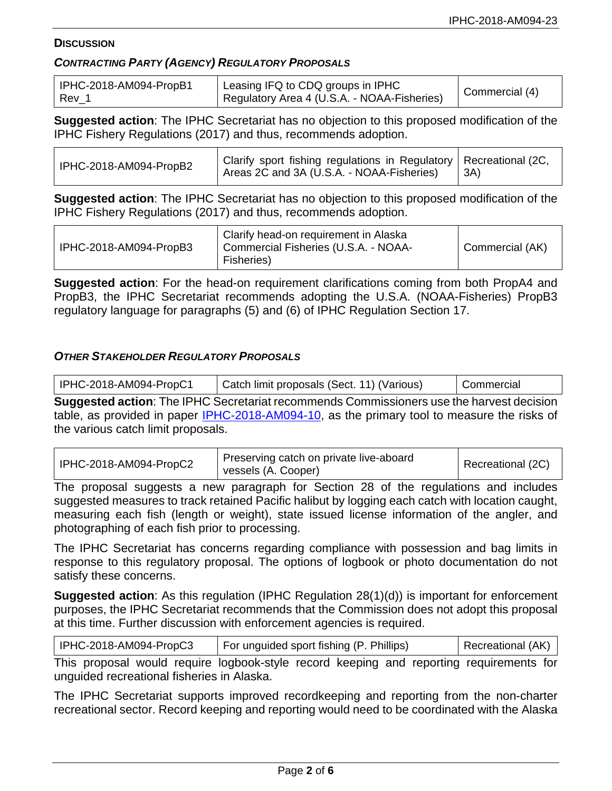### **DISCUSSION**

### *CONTRACTING PARTY (AGENCY) REGULATORY PROPOSALS*

| IPHC-2018-AM094-PropB1 | Leasing IFQ to CDQ groups in IPHC           | Commercial (4) |
|------------------------|---------------------------------------------|----------------|
| l Rev                  | Regulatory Area 4 (U.S.A. - NOAA-Fisheries) |                |

**Suggested action**: The IPHC Secretariat has no objection to this proposed modification of the IPHC Fishery Regulations (2017) and thus, recommends adoption.

| IPHC-2018-AM094-PropB2 | Clarify sport fishing regulations in Regulatory   Recreational (2C,<br>Areas 2C and 3A (U.S.A. - NOAA-Fisheries) | -3A) |
|------------------------|------------------------------------------------------------------------------------------------------------------|------|
|------------------------|------------------------------------------------------------------------------------------------------------------|------|

**Suggested action**: The IPHC Secretariat has no objection to this proposed modification of the IPHC Fishery Regulations (2017) and thus, recommends adoption.

| IPHC-2018-AM094-PropB3 | Clarify head-on requirement in Alaska<br>Commercial Fisheries (U.S.A. - NOAA-<br>Fisheries) | Commercial (AK) |
|------------------------|---------------------------------------------------------------------------------------------|-----------------|
|------------------------|---------------------------------------------------------------------------------------------|-----------------|

**Suggested action**: For the head-on requirement clarifications coming from both PropA4 and PropB3, the IPHC Secretariat recommends adopting the U.S.A. (NOAA-Fisheries) PropB3 regulatory language for paragraphs (5) and (6) of IPHC Regulation Section 17.

## *OTHER STAKEHOLDER REGULATORY PROPOSALS*

| IPHC-2018-AM094-PropC1             | Catch limit proposals (Sect. 11) (Various)                                                      | Commercial |  |  |  |
|------------------------------------|-------------------------------------------------------------------------------------------------|------------|--|--|--|
|                                    | <b>Suggested action:</b> The IPHC Secretariat recommends Commissioners use the harvest decision |            |  |  |  |
|                                    | table, as provided in paper IPHC-2018-AM094-10, as the primary tool to measure the risks of     |            |  |  |  |
| the various catch limit proposals. |                                                                                                 |            |  |  |  |

| IPHC-2018-AM094-PropC2 | Preserving catch on private live-aboard<br>vessels (A. Cooper) | Recreational (2C) |
|------------------------|----------------------------------------------------------------|-------------------|
|------------------------|----------------------------------------------------------------|-------------------|

The proposal suggests a new paragraph for Section 28 of the regulations and includes suggested measures to track retained Pacific halibut by logging each catch with location caught, measuring each fish (length or weight), state issued license information of the angler, and photographing of each fish prior to processing.

The IPHC Secretariat has concerns regarding compliance with possession and bag limits in response to this regulatory proposal. The options of logbook or photo documentation do not satisfy these concerns.

**Suggested action**: As this regulation (IPHC Regulation 28(1)(d)) is important for enforcement purposes, the IPHC Secretariat recommends that the Commission does not adopt this proposal at this time. Further discussion with enforcement agencies is required.

| IPHC-2018-AM094-PropC3 | For unguided sport fishing (P. Phillips) | Recreational (AK) |
|------------------------|------------------------------------------|-------------------|
|------------------------|------------------------------------------|-------------------|

This proposal would require logbook-style record keeping and reporting requirements for unguided recreational fisheries in Alaska.

The IPHC Secretariat supports improved recordkeeping and reporting from the non-charter recreational sector. Record keeping and reporting would need to be coordinated with the Alaska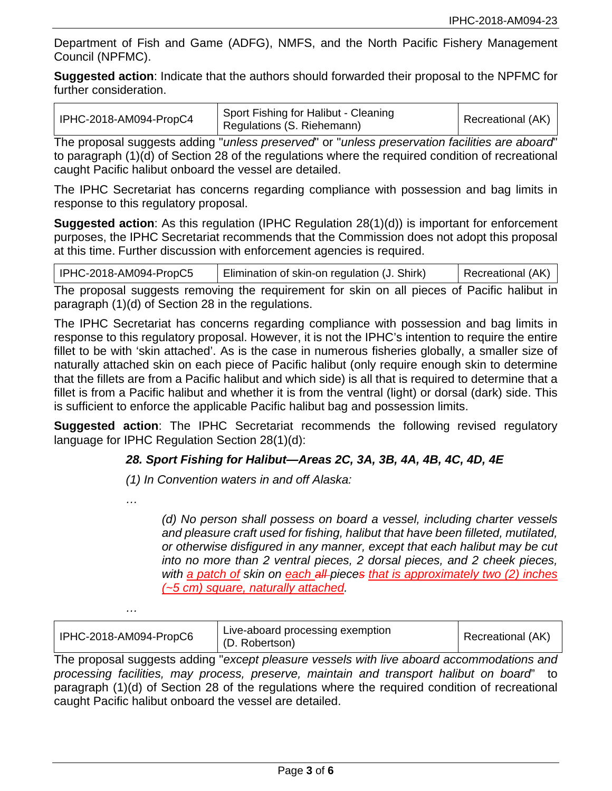Department of Fish and Game (ADFG), NMFS, and the North Pacific Fishery Management Council (NPFMC).

**Suggested action**: Indicate that the authors should forwarded their proposal to the NPFMC for further consideration.

| IPHC-2018-AM094-PropC4 | <sup>1</sup> Sport Fishing for Halibut - Cleaning<br>Regulations (S. Riehemann) | Recreational (AK) |
|------------------------|---------------------------------------------------------------------------------|-------------------|
|------------------------|---------------------------------------------------------------------------------|-------------------|

The proposal suggests adding "*unless preserved*" or "*unless preservation facilities are aboard*" to paragraph (1)(d) of Section 28 of the regulations where the required condition of recreational caught Pacific halibut onboard the vessel are detailed.

The IPHC Secretariat has concerns regarding compliance with possession and bag limits in response to this regulatory proposal.

**Suggested action**: As this regulation (IPHC Regulation 28(1)(d)) is important for enforcement purposes, the IPHC Secretariat recommends that the Commission does not adopt this proposal at this time. Further discussion with enforcement agencies is required.

| IPHC-2018-AM094-PropC5 | Elimination of skin-on regulation (J. Shirk) | Recreational (AK) |
|------------------------|----------------------------------------------|-------------------|
|------------------------|----------------------------------------------|-------------------|

The proposal suggests removing the requirement for skin on all pieces of Pacific halibut in paragraph (1)(d) of Section 28 in the regulations.

The IPHC Secretariat has concerns regarding compliance with possession and bag limits in response to this regulatory proposal. However, it is not the IPHC's intention to require the entire fillet to be with 'skin attached'. As is the case in numerous fisheries globally, a smaller size of naturally attached skin on each piece of Pacific halibut (only require enough skin to determine that the fillets are from a Pacific halibut and which side) is all that is required to determine that a fillet is from a Pacific halibut and whether it is from the ventral (light) or dorsal (dark) side. This is sufficient to enforce the applicable Pacific halibut bag and possession limits.

**Suggested action**: The IPHC Secretariat recommends the following revised regulatory language for IPHC Regulation Section 28(1)(d):

# *28. Sport Fishing for Halibut—Areas 2C, 3A, 3B, 4A, 4B, 4C, 4D, 4E*

*(1) In Convention waters in and off Alaska:*

*…*

*…*

*(d) No person shall possess on board a vessel, including charter vessels and pleasure craft used for fishing, halibut that have been filleted, mutilated, or otherwise disfigured in any manner, except that each halibut may be cut into no more than 2 ventral pieces, 2 dorsal pieces, and 2 cheek pieces, with a patch of skin on each all pieces that is approximately two (2) inches (~5 cm) square, naturally attached.*

| IPHC-2018-AM094-PropC6 | Live-aboard processing exemption<br>(D. Robertson) | Recreational (AK) |
|------------------------|----------------------------------------------------|-------------------|
|------------------------|----------------------------------------------------|-------------------|

The proposal suggests adding "*except pleasure vessels with live aboard accommodations and processing facilities, may process, preserve, maintain and transport halibut on board*" to paragraph (1)(d) of Section 28 of the regulations where the required condition of recreational caught Pacific halibut onboard the vessel are detailed.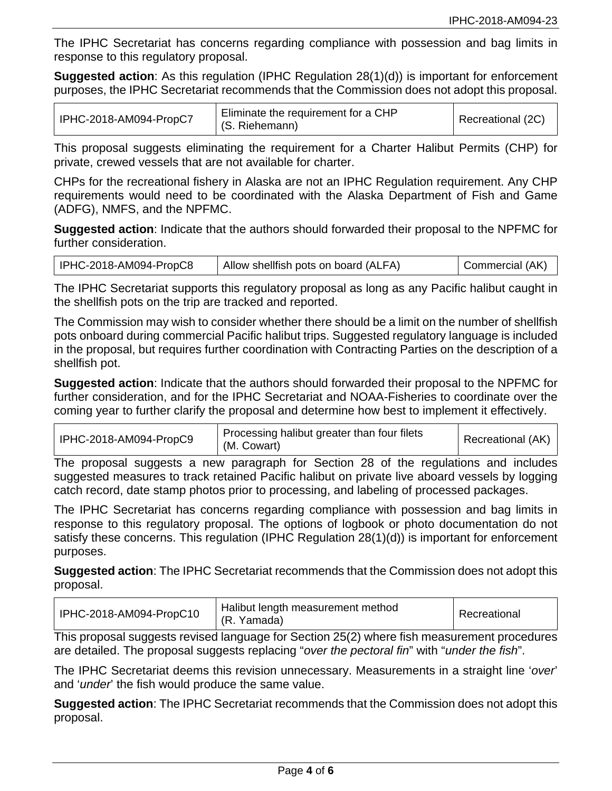The IPHC Secretariat has concerns regarding compliance with possession and bag limits in response to this regulatory proposal.

**Suggested action**: As this regulation (IPHC Regulation 28(1)(d)) is important for enforcement purposes, the IPHC Secretariat recommends that the Commission does not adopt this proposal.

| IPHC-2018-AM094-PropC7 | Eliminate the requirement for a CHP<br>(S. Riehemann) | Recreational (2C) |
|------------------------|-------------------------------------------------------|-------------------|
|------------------------|-------------------------------------------------------|-------------------|

This proposal suggests eliminating the requirement for a Charter Halibut Permits (CHP) for private, crewed vessels that are not available for charter.

CHPs for the recreational fishery in Alaska are not an IPHC Regulation requirement. Any CHP requirements would need to be coordinated with the Alaska Department of Fish and Game (ADFG), NMFS, and the NPFMC.

**Suggested action**: Indicate that the authors should forwarded their proposal to the NPFMC for further consideration.

The IPHC Secretariat supports this regulatory proposal as long as any Pacific halibut caught in the shellfish pots on the trip are tracked and reported.

The Commission may wish to consider whether there should be a limit on the number of shellfish pots onboard during commercial Pacific halibut trips. Suggested regulatory language is included in the proposal, but requires further coordination with Contracting Parties on the description of a shellfish pot.

**Suggested action**: Indicate that the authors should forwarded their proposal to the NPFMC for further consideration, and for the IPHC Secretariat and NOAA-Fisheries to coordinate over the coming year to further clarify the proposal and determine how best to implement it effectively.

| IPHC-2018-AM094-PropC9 | Processing halibut greater than four filets<br>(M. Cowart) | Recreational (AK) |
|------------------------|------------------------------------------------------------|-------------------|
|------------------------|------------------------------------------------------------|-------------------|

The proposal suggests a new paragraph for Section 28 of the regulations and includes suggested measures to track retained Pacific halibut on private live aboard vessels by logging catch record, date stamp photos prior to processing, and labeling of processed packages.

The IPHC Secretariat has concerns regarding compliance with possession and bag limits in response to this regulatory proposal. The options of logbook or photo documentation do not satisfy these concerns. This regulation (IPHC Regulation 28(1)(d)) is important for enforcement purposes.

**Suggested action**: The IPHC Secretariat recommends that the Commission does not adopt this proposal.

| IPHC-2018-AM094-PropC10 | Halibut length measurement method<br>(R. Yamada) | Recreational |
|-------------------------|--------------------------------------------------|--------------|
|-------------------------|--------------------------------------------------|--------------|

This proposal suggests revised language for Section 25(2) where fish measurement procedures are detailed. The proposal suggests replacing "*over the pectoral fin*" with "*under the fish*".

The IPHC Secretariat deems this revision unnecessary. Measurements in a straight line '*over*' and '*under*' the fish would produce the same value.

**Suggested action**: The IPHC Secretariat recommends that the Commission does not adopt this proposal.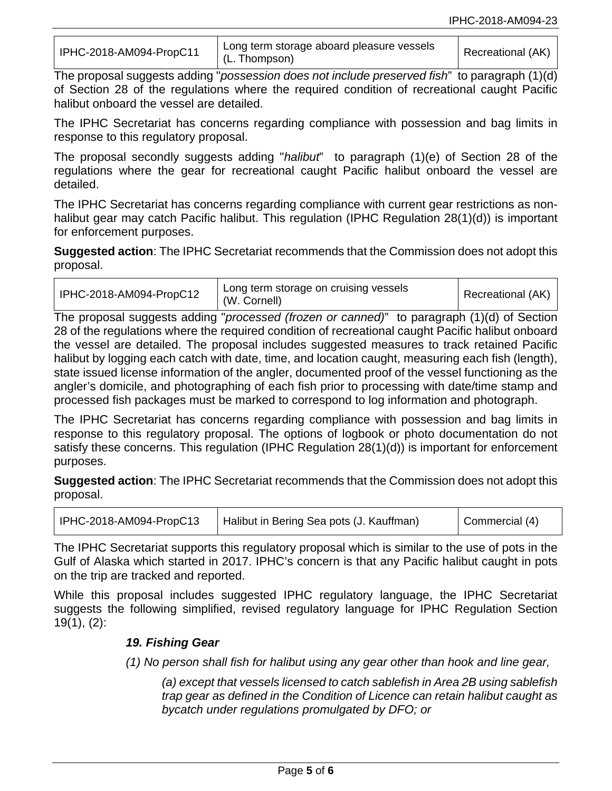| IPHC-2018-AM094-PropC11 | Long term storage aboard pleasure vessels<br>(L. Thompson) | Recreational (AK) |
|-------------------------|------------------------------------------------------------|-------------------|
|-------------------------|------------------------------------------------------------|-------------------|

The proposal suggests adding "*possession does not include preserved fish*" to paragraph (1)(d) of Section 28 of the regulations where the required condition of recreational caught Pacific halibut onboard the vessel are detailed.

The IPHC Secretariat has concerns regarding compliance with possession and bag limits in response to this regulatory proposal.

The proposal secondly suggests adding "*halibut*" to paragraph (1)(e) of Section 28 of the regulations where the gear for recreational caught Pacific halibut onboard the vessel are detailed.

The IPHC Secretariat has concerns regarding compliance with current gear restrictions as nonhalibut gear may catch Pacific halibut. This regulation (IPHC Regulation 28(1)(d)) is important for enforcement purposes.

**Suggested action**: The IPHC Secretariat recommends that the Commission does not adopt this proposal.

| IPHC-2018-AM094-PropC12 | Long term storage on cruising vessels<br>(W. Cornell) | Recreational (AK) |
|-------------------------|-------------------------------------------------------|-------------------|
|-------------------------|-------------------------------------------------------|-------------------|

The proposal suggests adding "*processed (frozen or canned)*" to paragraph (1)(d) of Section 28 of the regulations where the required condition of recreational caught Pacific halibut onboard the vessel are detailed. The proposal includes suggested measures to track retained Pacific halibut by logging each catch with date, time, and location caught, measuring each fish (length), state issued license information of the angler, documented proof of the vessel functioning as the angler's domicile, and photographing of each fish prior to processing with date/time stamp and processed fish packages must be marked to correspond to log information and photograph.

The IPHC Secretariat has concerns regarding compliance with possession and bag limits in response to this regulatory proposal. The options of logbook or photo documentation do not satisfy these concerns. This regulation (IPHC Regulation 28(1)(d)) is important for enforcement purposes.

**Suggested action**: The IPHC Secretariat recommends that the Commission does not adopt this proposal.

| IPHC-2018-AM094-PropC13 | Halibut in Bering Sea pots (J. Kauffman) | Commercial (4) |
|-------------------------|------------------------------------------|----------------|
|-------------------------|------------------------------------------|----------------|

The IPHC Secretariat supports this regulatory proposal which is similar to the use of pots in the Gulf of Alaska which started in 2017. IPHC's concern is that any Pacific halibut caught in pots on the trip are tracked and reported.

While this proposal includes suggested IPHC regulatory language, the IPHC Secretariat suggests the following simplified, revised regulatory language for IPHC Regulation Section 19(1), (2):

### *19. Fishing Gear*

*(1) No person shall fish for halibut using any gear other than hook and line gear,*

*(a) except that vessels licensed to catch sablefish in Area 2B using sablefish trap gear as defined in the Condition of Licence can retain halibut caught as bycatch under regulations promulgated by DFO; or*